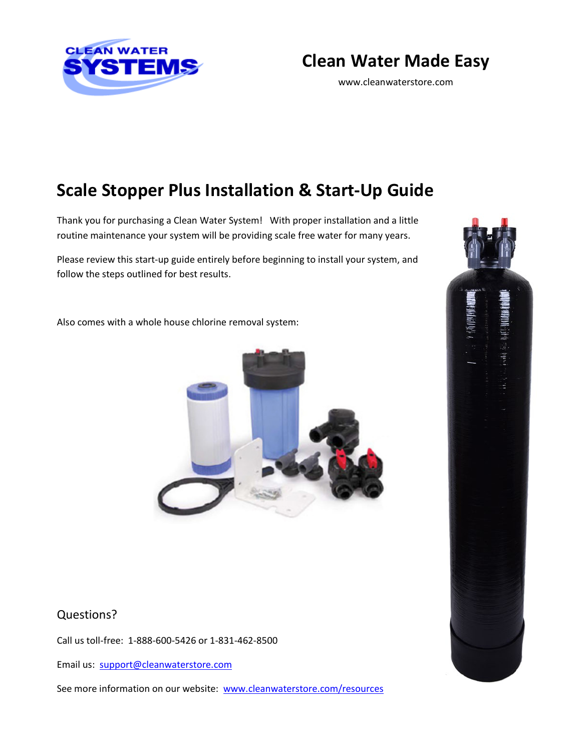

# **Clean Water Made Easy**

www.cleanwaterstore.com

# **Scale Stopper Plus Installation & Start-Up Guide**

Thank you for purchasing a Clean Water System! With proper installation and a little routine maintenance your system will be providing scale free water for many years.

Please review this start-up guide entirely before beginning to install your system, and follow the steps outlined for best results.

Also comes with a whole house chlorine removal system:



## Questions?

Call us toll-free: 1-888-600-5426 or 1-831-462-8500

Email us: [support@cleanwaterstore.com](mailto:support@cleanwaterstore.com)

See more information on our website: [www.cleanwaterstore.com/resources](http://www.cleanwaterstore.com/resources)

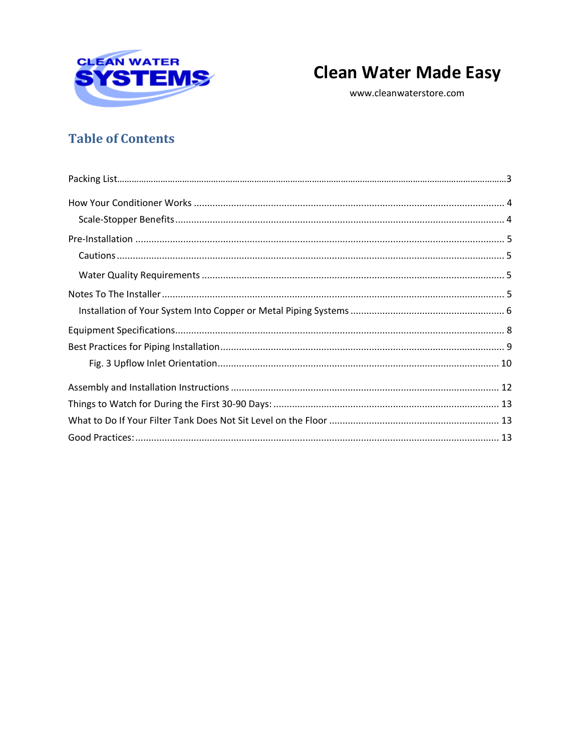

# **Clean Water Made Easy**

www.cleanwaterstore.com

## **Table of Contents**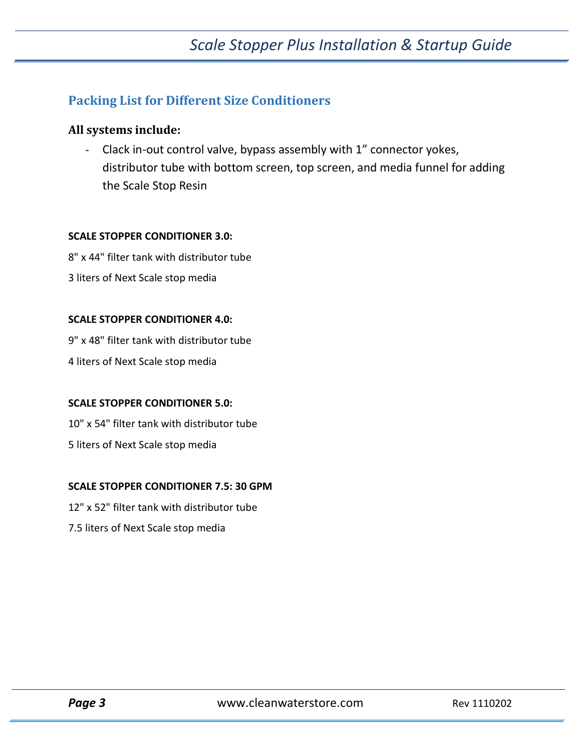## **Packing List for Different Size Conditioners**

#### **All systems include:**

- Clack in-out control valve, bypass assembly with 1" connector yokes, distributor tube with bottom screen, top screen, and media funnel for adding the Scale Stop Resin

#### **SCALE STOPPER CONDITIONER 3.0:**

8" x 44" filter tank with distributor tube 3 liters of Next Scale stop media

#### **SCALE STOPPER CONDITIONER 4.0:**

9" x 48" filter tank with distributor tube

4 liters of Next Scale stop media

#### **SCALE STOPPER CONDITIONER 5.0:**

10" x 54" filter tank with distributor tube 5 liters of Next Scale stop media

#### **SCALE STOPPER CONDITIONER 7.5: 30 GPM**

12" x 52" filter tank with distributor tube

7.5 liters of Next Scale stop media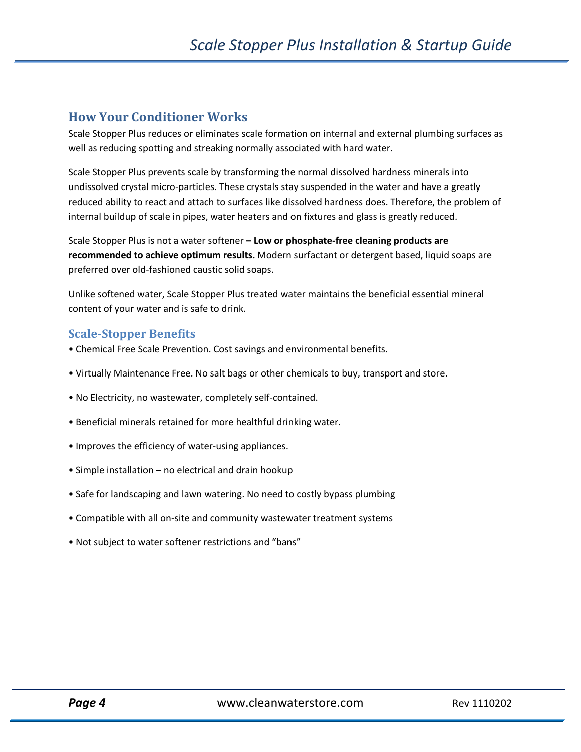## <span id="page-3-0"></span>**How Your Conditioner Works**

Scale Stopper Plus reduces or eliminates scale formation on internal and external plumbing surfaces as well as reducing spotting and streaking normally associated with hard water.

Scale Stopper Plus prevents scale by transforming the normal dissolved hardness minerals into undissolved crystal micro-particles. These crystals stay suspended in the water and have a greatly reduced ability to react and attach to surfaces like dissolved hardness does. Therefore, the problem of internal buildup of scale in pipes, water heaters and on fixtures and glass is greatly reduced.

Scale Stopper Plus is not a water softener **– Low or phosphate-free cleaning products are recommended to achieve optimum results.** Modern surfactant or detergent based, liquid soaps are preferred over old-fashioned caustic solid soaps.

Unlike softened water, Scale Stopper Plus treated water maintains the beneficial essential mineral content of your water and is safe to drink.

#### <span id="page-3-1"></span>**Scale-Stopper Benefits**

- Chemical Free Scale Prevention. Cost savings and environmental benefits.
- Virtually Maintenance Free. No salt bags or other chemicals to buy, transport and store.
- No Electricity, no wastewater, completely self-contained.
- Beneficial minerals retained for more healthful drinking water.
- Improves the efficiency of water-using appliances.
- Simple installation no electrical and drain hookup
- Safe for landscaping and lawn watering. No need to costly bypass plumbing
- Compatible with all on-site and community wastewater treatment systems
- Not subject to water softener restrictions and "bans"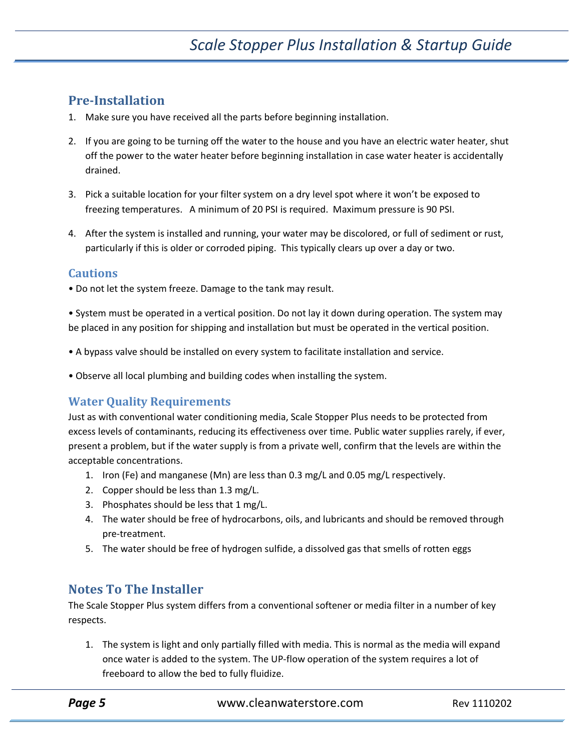## <span id="page-4-0"></span>**Pre-Installation**

- 1. Make sure you have received all the parts before beginning installation.
- 2. If you are going to be turning off the water to the house and you have an electric water heater, shut off the power to the water heater before beginning installation in case water heater is accidentally drained.
- 3. Pick a suitable location for your filter system on a dry level spot where it won't be exposed to freezing temperatures. A minimum of 20 PSI is required. Maximum pressure is 90 PSI.
- 4. After the system is installed and running, your water may be discolored, or full of sediment or rust, particularly if this is older or corroded piping. This typically clears up over a day or two.

#### <span id="page-4-1"></span>**Cautions**

• Do not let the system freeze. Damage to the tank may result.

• System must be operated in a vertical position. Do not lay it down during operation. The system may be placed in any position for shipping and installation but must be operated in the vertical position.

- A bypass valve should be installed on every system to facilitate installation and service.
- Observe all local plumbing and building codes when installing the system.

### <span id="page-4-2"></span>**Water Quality Requirements**

Just as with conventional water conditioning media, Scale Stopper Plus needs to be protected from excess levels of contaminants, reducing its effectiveness over time. Public water supplies rarely, if ever, present a problem, but if the water supply is from a private well, confirm that the levels are within the acceptable concentrations.

- 1. Iron (Fe) and manganese (Mn) are less than 0.3 mg/L and 0.05 mg/L respectively.
- 2. Copper should be less than 1.3 mg/L.
- 3. Phosphates should be less that 1 mg/L.
- 4. The water should be free of hydrocarbons, oils, and lubricants and should be removed through pre-treatment.
- 5. The water should be free of hydrogen sulfide, a dissolved gas that smells of rotten eggs

## <span id="page-4-3"></span>**Notes To The Installer**

The Scale Stopper Plus system differs from a conventional softener or media filter in a number of key respects.

1. The system is light and only partially filled with media. This is normal as the media will expand once water is added to the system. The UP-flow operation of the system requires a lot of freeboard to allow the bed to fully fluidize.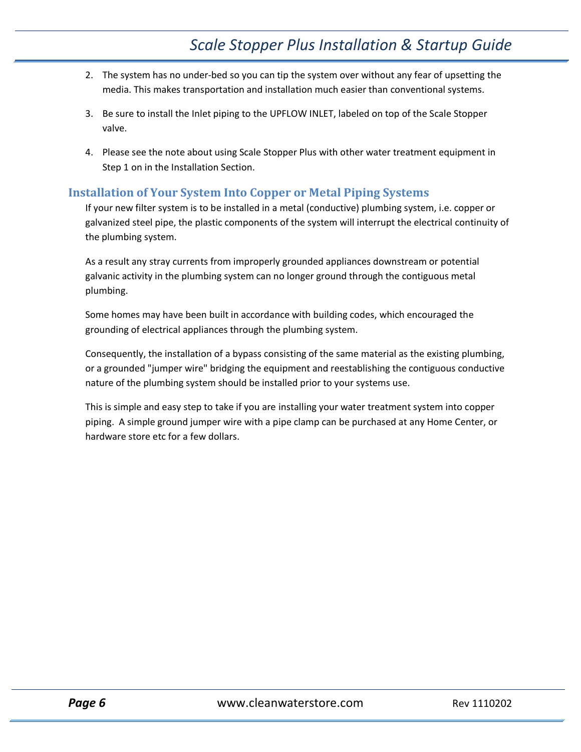- 2. The system has no under-bed so you can tip the system over without any fear of upsetting the media. This makes transportation and installation much easier than conventional systems.
- 3. Be sure to install the Inlet piping to the UPFLOW INLET, labeled on top of the Scale Stopper valve.
- 4. Please see the note about using Scale Stopper Plus with other water treatment equipment in Step 1 on in the Installation Section.

#### <span id="page-5-0"></span>**Installation of Your System Into Copper or Metal Piping Systems**

If your new filter system is to be installed in a metal (conductive) plumbing system, i.e. copper or galvanized steel pipe, the plastic components of the system will interrupt the electrical continuity of the plumbing system.

As a result any stray currents from improperly grounded appliances downstream or potential galvanic activity in the plumbing system can no longer ground through the contiguous metal plumbing.

Some homes may have been built in accordance with building codes, which encouraged the grounding of electrical appliances through the plumbing system.

Consequently, the installation of a bypass consisting of the same material as the existing plumbing, or a grounded "jumper wire" bridging the equipment and reestablishing the contiguous conductive nature of the plumbing system should be installed prior to your systems use.

This is simple and easy step to take if you are installing your water treatment system into copper piping. A simple ground jumper wire with a pipe clamp can be purchased at any Home Center, or hardware store etc for a few dollars.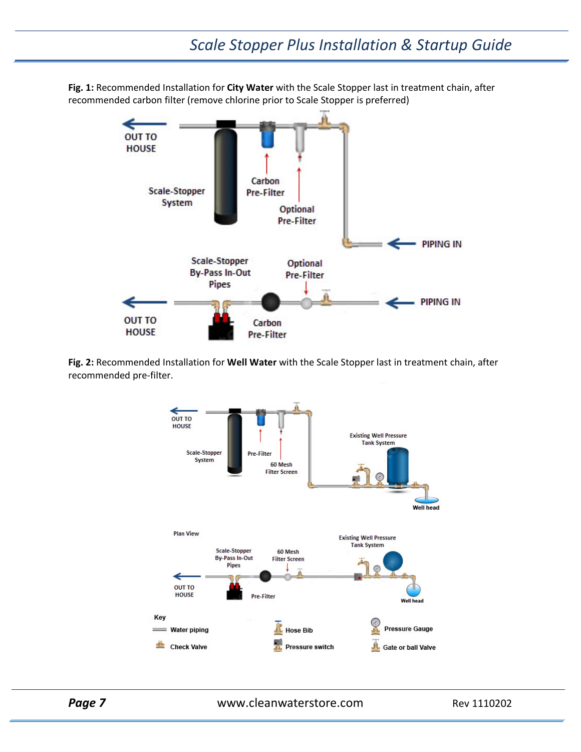**Fig. 1:** Recommended Installation for **City Water** with the Scale Stopper last in treatment chain, after recommended carbon filter (remove chlorine prior to Scale Stopper is preferred)



**Fig. 2:** Recommended Installation for **Well Water** with the Scale Stopper last in treatment chain, after recommended pre-filter.



**Page 7** WWW.cleanwaterstore.com Rev 1110202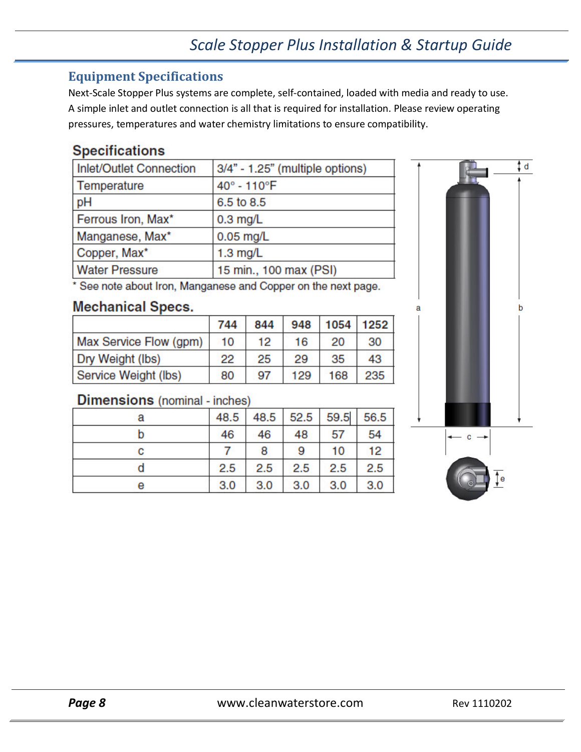## <span id="page-7-0"></span>**Equipment Specifications**

Next-Scale Stopper Plus systems are complete, self-contained, loaded with media and ready to use. A simple inlet and outlet connection is all that is required for installation. Please review operating pressures, temperatures and water chemistry limitations to ensure compatibility.

## **Specifications**

| 3/4" - 1.25" (multiple options) |
|---------------------------------|
| 40° - 110°F                     |
| 6.5 to 8.5                      |
| $0.3$ mg/L                      |
| $0.05$ mg/L                     |
| $1.3$ mg/L                      |
| 15 min., 100 max (PSI)          |
|                                 |

\* See note about Iron, Manganese and Copper on the next page.

## **Mechanical Specs.**

|                        | 744 | 844 | 948 | 1054 | 1252 |
|------------------------|-----|-----|-----|------|------|
| Max Service Flow (gpm) | 10  | 12  | 16  | 20   | 30   |
| Dry Weight (lbs)       | 22  | 25  | 29  | 35   | 43   |
| Service Weight (lbs)   | 80  | 97  | 129 | 168  | 235  |

## **Dimensions** (nominal - inches)

| а | 48.5 |     | 48.5 52.5 | 59.5 56.5 |     |
|---|------|-----|-----------|-----------|-----|
|   | 46   | 46  | 48        | 57        | 54  |
| с |      | 8   | 9         | 10        | 12  |
|   | 2.5  | 2.5 | 2.5       | 2.5       | 2.5 |
| е | 3.0  | 3.0 | 3.0       | 3.0       | 3.0 |

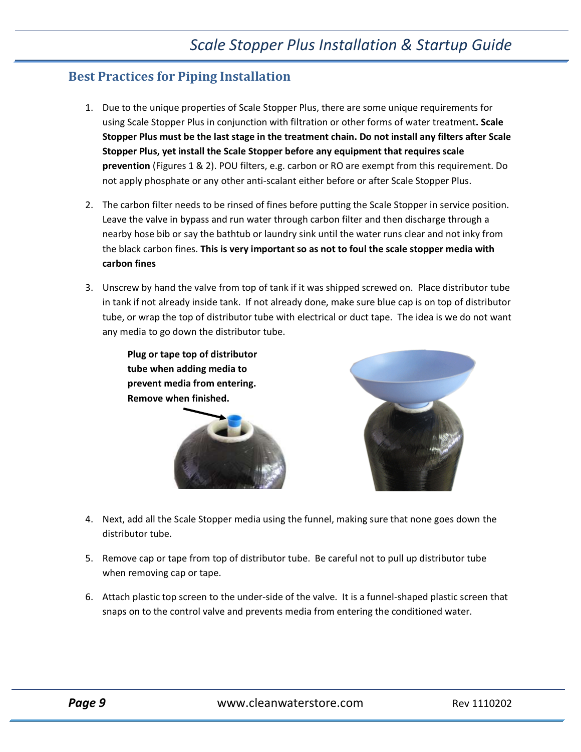## <span id="page-8-0"></span>**Best Practices for Piping Installation**

- 1. Due to the unique properties of Scale Stopper Plus, there are some unique requirements for using Scale Stopper Plus in conjunction with filtration or other forms of water treatment**. Scale Stopper Plus must be the last stage in the treatment chain. Do not install any filters after Scale Stopper Plus, yet install the Scale Stopper before any equipment that requires scale prevention** (Figures 1 & 2). POU filters, e.g. carbon or RO are exempt from this requirement. Do not apply phosphate or any other anti-scalant either before or after Scale Stopper Plus.
- 2. The carbon filter needs to be rinsed of fines before putting the Scale Stopper in service position. Leave the valve in bypass and run water through carbon filter and then discharge through a nearby hose bib or say the bathtub or laundry sink until the water runs clear and not inky from the black carbon fines. **This is very important so as not to foul the scale stopper media with carbon fines**
- 3. Unscrew by hand the valve from top of tank if it was shipped screwed on. Place distributor tube in tank if not already inside tank. If not already done, make sure blue cap is on top of distributor tube, or wrap the top of distributor tube with electrical or duct tape. The idea is we do not want any media to go down the distributor tube.

**Plug or tape top of distributor tube when adding media to prevent media from entering. Remove when finished.**





- 4. Next, add all the Scale Stopper media using the funnel, making sure that none goes down the distributor tube.
- 5. Remove cap or tape from top of distributor tube. Be careful not to pull up distributor tube when removing cap or tape.
- 6. Attach plastic top screen to the under-side of the valve. It is a funnel-shaped plastic screen that snaps on to the control valve and prevents media from entering the conditioned water.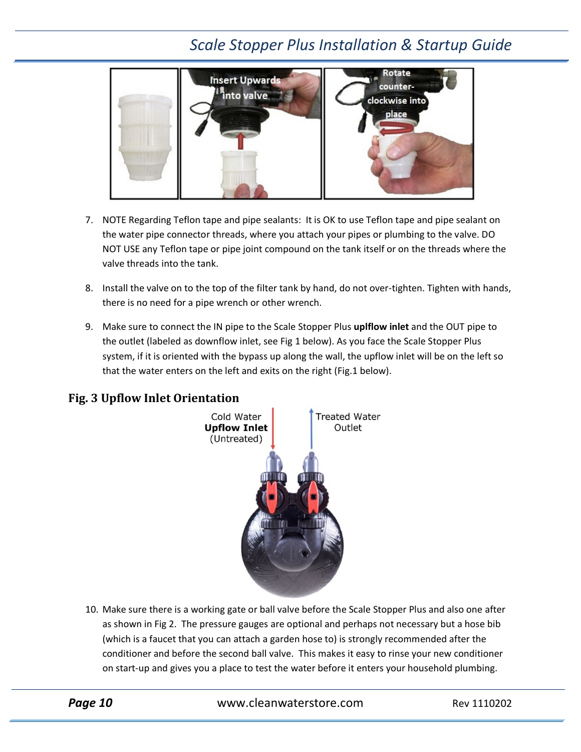# *Scale Stopper Plus Installation & Startup Guide*



- 7. NOTE Regarding Teflon tape and pipe sealants: It is OK to use Teflon tape and pipe sealant on the water pipe connector threads, where you attach your pipes or plumbing to the valve. DO NOT USE any Teflon tape or pipe joint compound on the tank itself or on the threads where the valve threads into the tank.
- 8. Install the valve on to the top of the filter tank by hand, do not over-tighten. Tighten with hands, there is no need for a pipe wrench or other wrench.
- 9. Make sure to connect the IN pipe to the Scale Stopper Plus **uplflow inlet** and the OUT pipe to the outlet (labeled as downflow inlet, see Fig 1 below). As you face the Scale Stopper Plus system, if it is oriented with the bypass up along the wall, the upflow inlet will be on the left so that the water enters on the left and exits on the right (Fig.1 below).

# Cold Water **Treated Water Upflow Inlet** Outlet (Untreated)

### <span id="page-9-0"></span>**Fig. 3 Upflow Inlet Orientation**

10. Make sure there is a working gate or ball valve before the Scale Stopper Plus and also one after as shown in Fig 2. The pressure gauges are optional and perhaps not necessary but a hose bib (which is a faucet that you can attach a garden hose to) is strongly recommended after the conditioner and before the second ball valve. This makes it easy to rinse your new conditioner on start-up and gives you a place to test the water before it enters your household plumbing.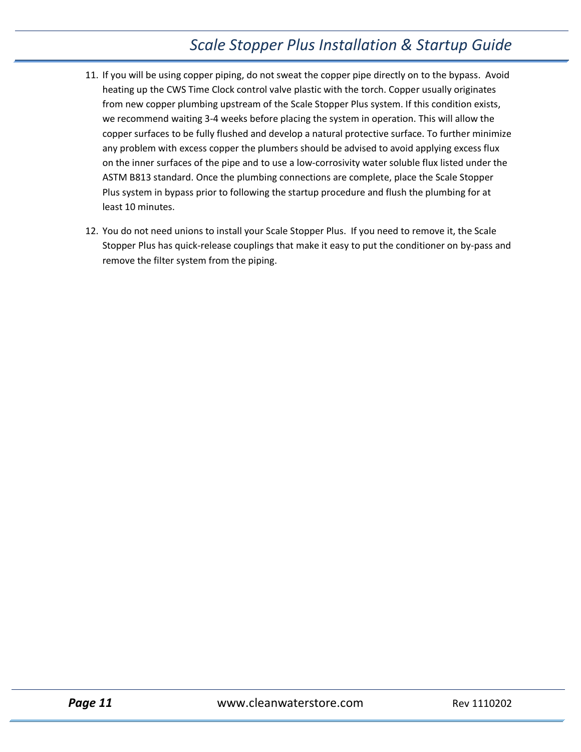# *Scale Stopper Plus Installation & Startup Guide*

- 11. If you will be using copper piping, do not sweat the copper pipe directly on to the bypass. Avoid heating up the CWS Time Clock control valve plastic with the torch. Copper usually originates from new copper plumbing upstream of the Scale Stopper Plus system. If this condition exists, we recommend waiting 3-4 weeks before placing the system in operation. This will allow the copper surfaces to be fully flushed and develop a natural protective surface. To further minimize any problem with excess copper the plumbers should be advised to avoid applying excess flux on the inner surfaces of the pipe and to use a low-corrosivity water soluble flux listed under the ASTM B813 standard. Once the plumbing connections are complete, place the Scale Stopper Plus system in bypass prior to following the startup procedure and flush the plumbing for at least 10 minutes.
- 12. You do not need unions to install your Scale Stopper Plus. If you need to remove it, the Scale Stopper Plus has quick-release couplings that make it easy to put the conditioner on by-pass and remove the filter system from the piping.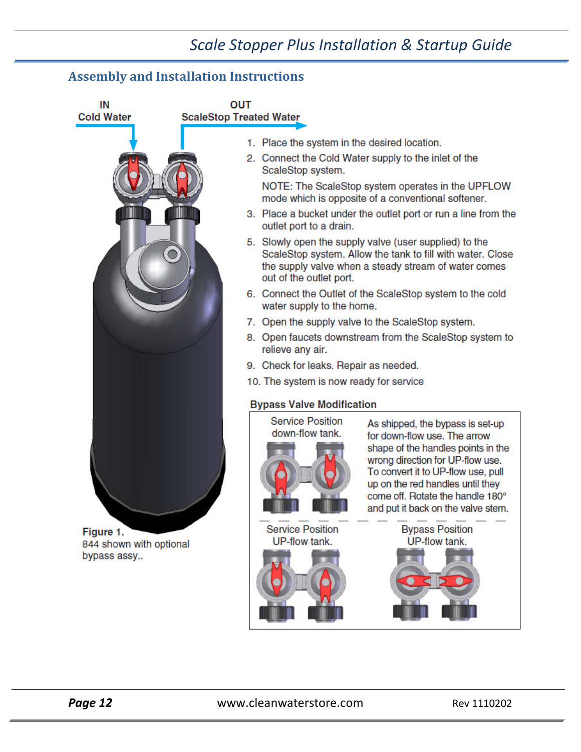## *Scale Stopper Plus Installation & Startup Guide*

## <span id="page-11-0"></span>**Assembly and Installation Instructions**



844 shown with optional bypass assy..

1. Place the system in the desired location.

2. Connect the Cold Water supply to the inlet of the ScaleStop system.

NOTE: The ScaleStop system operates in the UPFLOW mode which is opposite of a conventional softener.

- 3. Place a bucket under the outlet port or run a line from the outlet port to a drain.
- 5. Slowly open the supply valve (user supplied) to the ScaleStop system. Allow the tank to fill with water. Close the supply valve when a steady stream of water comes out of the outlet port.
- 6. Connect the Outlet of the ScaleStop system to the cold water supply to the home.
- 7. Open the supply valve to the ScaleStop system.
- 8. Open faucets downstream from the ScaleStop system to relieve any air.
- 9. Check for leaks. Repair as needed.
- 10. The system is now ready for service

#### **Bypass Valve Modification**



**Service Position** 

UP-flow tank.

As shipped, the bypass is set-up for down-flow use. The arrow shape of the handles points in the wrong direction for UP-flow use. To convert it to UP-flow use, pull up on the red handles until they come off. Rotate the handle 180° and put it back on the valve stem.